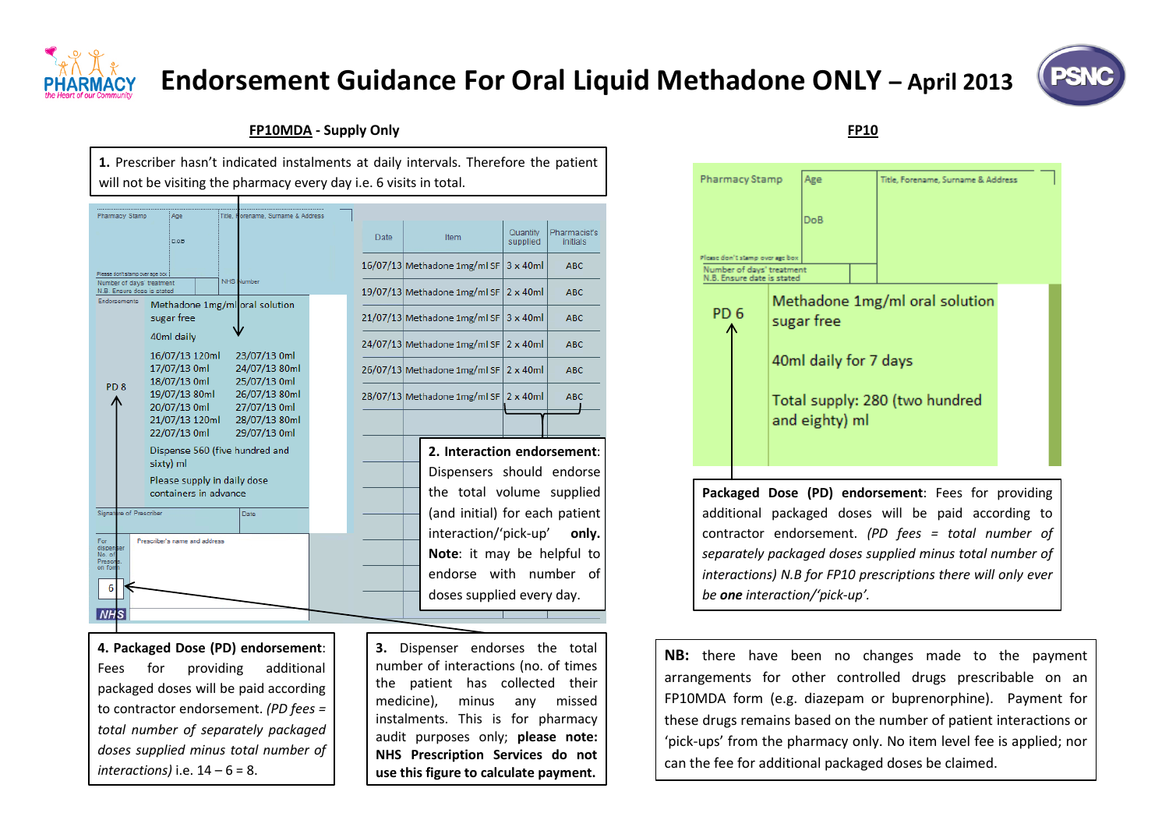

## **Endorsement Guidance For Oral Liquid Methadone ONLY – April 2013**



## **FP10MDA - Supply Only FP10**







contractor endorsement. *(PD fees = total number of separately packaged doses supplied minus total number of interactions) N.B for FP10 prescriptions there will only ever be one interaction/'pick-up'.*

**NB:** there have been no changes made to the payment arrangements for other controlled drugs prescribable on an FP10MDA form (e.g. diazepam or buprenorphine). Payment for these drugs remains based on the number of patient interactions or 'pick-ups' from the pharmacy only. No item level fee is applied; nor can the fee for additional packaged doses be claimed.